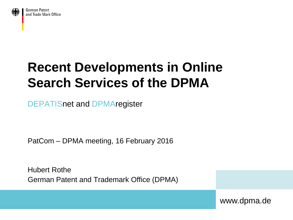

German Patent and Trade Mark Office

# **Recent Developments in Online Search Services of the DPMA**

DEPATISnet and DPMAregister

PatCom – DPMA meeting, 16 February 2016

Hubert Rothe German Patent and Trademark Office (DPMA)

www.dpma.de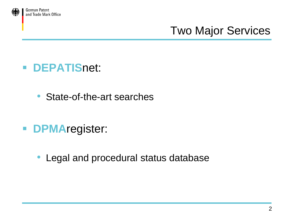

## Two Major Services

- **DEPATIS**net:
	- State-of-the-art searches
- **DPMA**register:
	- Legal and procedural status database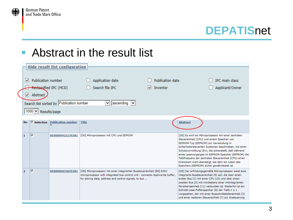

#### ■ Abstract in the result list

|                                                                                                                                                                                                                                                                                                                      | <b>Hide result list configuration</b> |                         |                           |                                                                                                                                                                                                                 |  |                                                                                                                                                                                                                                                                                                                                                                                                                                                                                  |  |  |  |  |  |
|----------------------------------------------------------------------------------------------------------------------------------------------------------------------------------------------------------------------------------------------------------------------------------------------------------------------|---------------------------------------|-------------------------|---------------------------|-----------------------------------------------------------------------------------------------------------------------------------------------------------------------------------------------------------------|--|----------------------------------------------------------------------------------------------------------------------------------------------------------------------------------------------------------------------------------------------------------------------------------------------------------------------------------------------------------------------------------------------------------------------------------------------------------------------------------|--|--|--|--|--|
| <b>Publication number</b><br><b>Publication date</b><br><b>IPC</b> main class<br>M<br>Application date<br>Redassified IPC (MCD)<br>Search file IPC<br>Inventor<br>Applicant/Owner<br>M<br>$\vee$ Abstract<br>Search list sorted by Publication number<br>$\sqrt{a}$ ascending $\sqrt{a}$<br>v<br>1000 v Results/page |                                       |                         |                           |                                                                                                                                                                                                                 |  |                                                                                                                                                                                                                                                                                                                                                                                                                                                                                  |  |  |  |  |  |
|                                                                                                                                                                                                                                                                                                                      | No.                                   | ⊽<br><b>Selection</b>   | <b>Publication number</b> | <b>Title</b>                                                                                                                                                                                                    |  | <b>Abstract</b>                                                                                                                                                                                                                                                                                                                                                                                                                                                                  |  |  |  |  |  |
|                                                                                                                                                                                                                                                                                                                      | $\mathbf{1}$                          | $\overline{\mathbf{v}}$ | DE000004231703A1          | [DE] Mikroprozessor mit CPU und EEPROM                                                                                                                                                                          |  | [DE] Es wird ein Mikroprozessor mit einer zentralen<br>Steuereinheit (CPU) und einem Speicher von<br>EEPROM-Typ (EEPROM) zur Verwendung in<br>sicherheitsrelevanten Systemen beschrieben, mit einer<br>Schutzvorrichtung (SV), die sicherstellt, daß während<br>eines Lesevorganges im EEPROM-Speicher (EEPROM) die<br>Taktfrequenz der zentralen Steuereinheit (CPU) einen<br>Grenzwert nicht übersteigt, bei dem ein Lesen des<br>Speichers (EEPROM) sicher gewährleistet ist. |  |  |  |  |  |
|                                                                                                                                                                                                                                                                                                                      | $\overline{\mathbf{2}}$               | ⊽                       | DE000004336353A1          | [DE] Mikroprozessor mit einer integrierten Bussteuereinheit [EN] RISC<br>microprocessor with integrated bus control unit - connects read=write buffer,<br>for storing data, address and control signals, to bus |  | [DE] Der erfindungsgemäße Mikroprozessor weist eine<br>integrierte Bussteuereinheit (9) auf, die über einen<br>ersten Bus (1) mit einer CPU (10) und über einen<br>zweiten Bus (5) mit mindestens einer mitintegrierten<br>Peripherieeinheit (11) verbunden ist. Weiterhin ist ein<br>Schreib-Lese-Pufferspeicher (6) der Tiefe n ≥ 1<br>vorgesehen, der mit einer Busschnittstelleneinheit (3)<br>und einer weiteren Steuereinheit (7) zur Ansteuerung                          |  |  |  |  |  |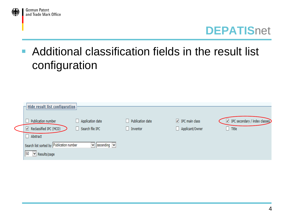

## **• Additional classification fields in the result list** configuration

| <b>Hide result list configuration</b>                                                 |                  |                           |                                          |
|---------------------------------------------------------------------------------------|------------------|---------------------------|------------------------------------------|
| Application date<br>Publication number                                                | Publication date | $\sqrt{ }$ IPC main class | $\sqrt{ }$ IPC secondary / index classes |
| Reclassified IPC (MCD)<br>Search file IPC<br>√                                        | Inventor         | Applicant/Owner           | $\overline{\phantom{a}}$ Title           |
| Abstract                                                                              |                  |                           |                                          |
| $\triangledown$ ascending $\triangledown$<br>Search list sorted by Publication number |                  |                           |                                          |
| 50<br>$\vee$ Results/page                                                             |                  |                           |                                          |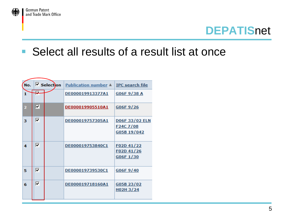

### ■ Select all results of a result list at once

| No. |       | $\triangledown$ Selection | <b>Publication number A</b> | <b>IPC</b> search file                                        |  |  |  |  |
|-----|-------|---------------------------|-----------------------------|---------------------------------------------------------------|--|--|--|--|
| 1   | $\pm$ |                           | DE000019913377A1            | G06F9/38A                                                     |  |  |  |  |
| 2   | ⊽     |                           | DE000019905510A1            | G06F9/26                                                      |  |  |  |  |
| з   | ⊽     |                           | DE000019757305A1            | <b>D06F33/02 ELN</b><br>F <sub>24</sub> C 7/08<br>G05B 19/042 |  |  |  |  |
| 4   | ⊽     |                           | DE000019753840C1            | F02D 41/22<br>F02D41/26<br>G06F1/30                           |  |  |  |  |
| 5   | ⊽     |                           | DE000019739530C1            | G06F9/40                                                      |  |  |  |  |
| 6   | ⊽     |                           | DE000019718160A1            | G05B 23/02<br>H02H3/24                                        |  |  |  |  |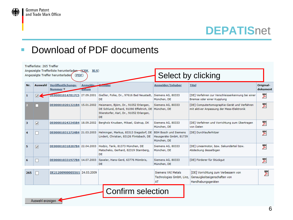

#### Download of PDF documents

| Trefferliste: 265 Treffer |                          |                                                                                               |                   |                                                                                                                                                    |                                                      |                                                                                            |                       |  |  |
|---------------------------|--------------------------|-----------------------------------------------------------------------------------------------|-------------------|----------------------------------------------------------------------------------------------------------------------------------------------------|------------------------------------------------------|--------------------------------------------------------------------------------------------|-----------------------|--|--|
|                           |                          | Angezeigte Trefferliste herunterladen (CSV, XLS)<br>Angezeigte Treffer herunterlader<br>(PDF) |                   |                                                                                                                                                    | Select by clicking                                   |                                                                                            |                       |  |  |
| Nr.                       | Auswahl                  | Veröffentlichungs-<br>Nummer ▼                                                                | Anmelde-<br>datum | Ermder                                                                                                                                             | Anmelder/Inhaber                                     | <b>Titel</b>                                                                               | Original-<br>dokument |  |  |
| 1                         |                          | DE000010147817C5 27.09.2001                                                                   |                   | Gießler, Folke, Dr., 97616 Bad Neustadt, Siemens AG, 80333<br>DE                                                                                   | München, DE                                          | [DE] Verfahren zur Verschleisserkennung bei einer<br>Bremse oder einer Kupplung            | $\sum_{i=1}^{n}$      |  |  |
|                           |                          | DE000010201321B4 15.01.2002                                                                   |                   | Heismann, Björn, Dr., 91052 Erlangen,<br>DE Schlund, Erhard, 91090 Effeltrich, DE   München, DE<br>Stierstorfer, Karl, Dr., 91052 Erlangen,<br>DE. | Siemens AG, 80333                                    | [DE] Computertomographie-Gerät und Verfahren<br>mit aktiver Anpassung der Mess-Elektronik  | F                     |  |  |
| 3                         | $\overline{\mathbf{v}}$  | DE000010243345B4 18.09.2002                                                                   |                   | Bergholz Knudsen, Mikael, Gistrup, DK                                                                                                              | Siemens AG, 80333<br>München, DE                     | [DE] Verfahren und Vorrichtung zum Übertragen<br>von Daten                                 | F                     |  |  |
| 4                         | $\overline{\phantom{0}}$ | DE000010312724B4 21.03.2003                                                                   |                   | Helminger, Markus, 83313 Siegsdorf, DE BSH Bosch und Siemens<br>Lindert, Christian, 83126 Flintsbach, DE                                           | Hausgeräte GmbH, 81739<br>München, DE                | [DE] Durchlauferhitzer                                                                     | 罗                     |  |  |
| 5                         | ▿                        | DE000010318207B4 22.04.2003                                                                   |                   | Hodzic, Tarik, 81373 München, DE<br>Matscheko, Gerhard, 82319 Starnberg,<br>DE.                                                                    | Siemens AG, 80333<br>München, DE                     | [DE] Linearmotor, bzw. Sekundärteil bzw.<br>Abdeckung desselbigen                          | ን                     |  |  |
| 6                         | $\overline{\phantom{a}}$ | DE000010331977B4 14.07.2003                                                                   |                   | Spoeler, Hans-Gerd, 63776 Mömbris,<br>DE.                                                                                                          | Siemens AG, 80333<br>München, DE                     | [DE] Förderer für Stückgut                                                                 | 罗                     |  |  |
| 265                       | П                        | DE212009000055U1 24.03.2009                                                                   |                   |                                                                                                                                                    | Siemens VAI Metals<br>Technologies GmbH, Linz,<br>AT | [DE] Vorrichtung zum Verbessern von<br>Genauigkeitseigenschaften von<br>Handhabungsgeräten | y.                    |  |  |
|                           |                          |                                                                                               |                   | <b>Confirm selection</b>                                                                                                                           |                                                      |                                                                                            |                       |  |  |
|                           | Auswahl anzeigen         |                                                                                               |                   |                                                                                                                                                    |                                                      |                                                                                            |                       |  |  |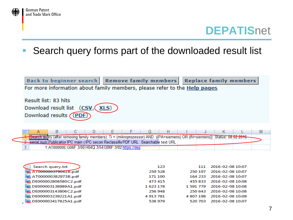



Search query forms part of the downloaded result list



| Search query.txt     | 123     | 111       | 2016-02-08 10:07 |
|----------------------|---------|-----------|------------------|
| A1000000379041B.pdf  | 259 528 | 250 197   | 2016-02-08 10:07 |
| AT000000382973B.pdf  | 171 100 | 164 233   | 2016-02-08 10:07 |
| DE000002808580C2.pdf | 473 415 | 455 833   | 2016-02-08 10:08 |
| DE000003138989A1.pdf | 1623178 | 1 591 779 | 2016-02-08 10:08 |
| DE000003143806C2.pdf | 256 948 | 250 643   | 2016-02-08 10:08 |
| DE000003239221A1.pdf | 4913781 | 4807198   | 2016-02-08 10:08 |
| DE000003417825A1.pdf | 538 979 | 520 703   | 2016-02-08 10:07 |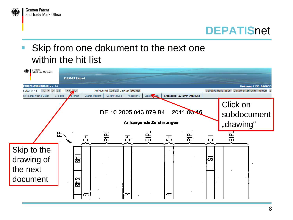

 Skip from one dokument to the next one within the hit list



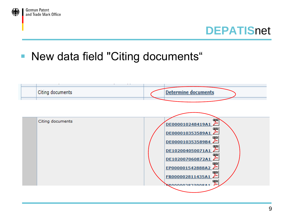

### **New data field "Citing documents"**

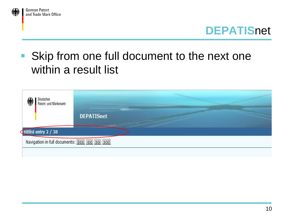



## **Skip from one full document to the next one** within a result list

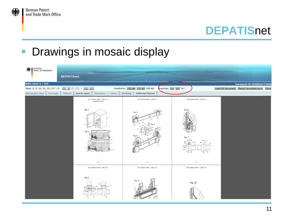

### **Drawings in mosaic display**

| 狐 | Deutsches<br>Patent- und Markenamt | <b>DEPATISnet</b> |                                                                                                                                                                                                                                                                                                                                                                                                                                                                                                             |                                                                |                                            |                                                |
|---|------------------------------------|-------------------|-------------------------------------------------------------------------------------------------------------------------------------------------------------------------------------------------------------------------------------------------------------------------------------------------------------------------------------------------------------------------------------------------------------------------------------------------------------------------------------------------------------|----------------------------------------------------------------|--------------------------------------------|------------------------------------------------|
|   | litlist entry 6 / 264              |                   |                                                                                                                                                                                                                                                                                                                                                                                                                                                                                                             |                                                                |                                            | <b>Document DE102005021589A</b>                |
|   | Page: 8, 9, 10, 11, 12, 13 / 13    |                   | $ < < >$   $ < >$                                                                                                                                                                                                                                                                                                                                                                                                                                                                                           | Resolution: 100 dpi 150 dpi 300 dpi<br>$\sqrt{2 \times 2}$ 3x2 |                                            | Load full document Report document error Close |
|   | Bibliographic data First page      | Abstract          | Search report<br>Claims<br>Description                                                                                                                                                                                                                                                                                                                                                                                                                                                                      | <b>Additional Abstract</b><br><b>Drawing</b>                   |                                            |                                                |
|   |                                    |                   | DE 10 2005 021 589 A1 2006.11.16<br>Arthängende Zeichnungen<br>Fig. 1<br>Fig. 2<br>nsd <sup>10</sup><br>10000000<br>1888000<br>$\begin{picture}(120,10) \put(0,0){\line(1,0){100}} \put(0,0){\line(1,0){100}} \put(0,0){\line(1,0){100}} \put(0,0){\line(1,0){100}} \put(0,0){\line(1,0){100}} \put(0,0){\line(1,0){100}} \put(0,0){\line(1,0){100}} \put(0,0){\line(1,0){100}} \put(0,0){\line(1,0){100}} \put(0,0){\line(1,0){100}} \put(0,0){\line(1,0){100}} \put(0,0){\line($<br><b>Quantitude</b><br> | DE 10 2005 021 589 A1 2006.11.16<br>Fig. 3<br>Fig.             | DE 10 2005 021 589 A1 2006.11.16<br>Fig. 6 |                                                |
|   |                                    |                   | 813                                                                                                                                                                                                                                                                                                                                                                                                                                                                                                         | 913                                                            | 15/13                                      |                                                |
|   |                                    |                   | DE 10 2005 021 589 A1 2006.11.16                                                                                                                                                                                                                                                                                                                                                                                                                                                                            | DE 10 2005 021 589 A1 2006.11.16                               | DE 10 2005 021 589 A1 2006.11.16           |                                                |
|   |                                    |                   | Fig. 8                                                                                                                                                                                                                                                                                                                                                                                                                                                                                                      | Fig. 10                                                        | Fig. 12                                    |                                                |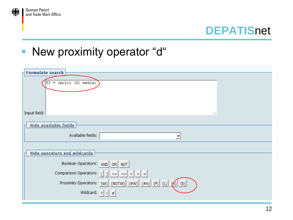

### **New proximity operator "d"**

| <b>Formulate search</b><br>$=$ (multi (D) media)                                                      |  |
|-------------------------------------------------------------------------------------------------------|--|
| Input field:<br>47                                                                                    |  |
| Hide available fields<br>Available fields:<br>$\overline{\phantom{a}}$                                |  |
| <b>Hide operators and wildcards</b>                                                                   |  |
| Boolean Operators: AND OR NOT                                                                         |  |
| Proximity Operators: $(W)$ (NOTW) $(\#W)$ $(\#A)$ $(P)$ $(L)$ $(A)$ $(D)$<br>Wildcard: $ ?    \neq  $ |  |
|                                                                                                       |  |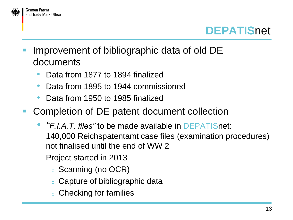

- Improvement of bibliographic data of old DE documents
	- Data from 1877 to 1894 finalized
	- Data from 1895 to 1944 commissioned
	- Data from 1950 to 1985 finalized
- **Completion of DE patent document collection** 
	- *"F.I.A.T. files"* to be made available in DEPATISnet: 140,000 Reichspatentamt case files (examination procedures) not finalised until the end of WW 2
		- Project started in 2013
			- <sup>o</sup> Scanning (no OCR)
			- <sup>o</sup> Capture of bibliographic data
			- <sup>o</sup> Checking for families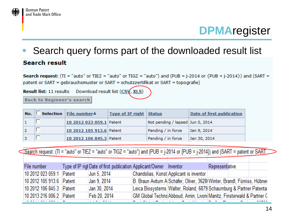

### **DPMA**register

#### Search query forms part of the downloaded result list**Search result**

**Search request:** (TI = "auto" or TIEZ = "auto" or TIGZ = "auto") and (PUB =  $i$ -2014 or  $\{PUB = i$ -2014 $\}$ ) and (SART = patent or SART = gebrauchsmuster or SART = schutzzertifikat or SART = topografie)

**Result list:** 11 results Download result list  $(CS\sqrt{XLS})$ 

**Back to Beginner's search** 

| No. | Selection   File number <sup>4</sup> | Type of IP right Status |                                  | Date of first publication |
|-----|--------------------------------------|-------------------------|----------------------------------|---------------------------|
|     | 10 2012 023 059.1 Patent             |                         | Not pending / lapsed Jun 5, 2014 |                           |
|     | 10 2012 105 913.6 Patent             |                         | Pending / in force   Jan 9, 2014 |                           |
|     | 10 2012 106 845.3 Patent             |                         | Pending / in force               | Jan 30, 2014              |

Search request: (TI = "auto" or TIEZ = "auto" or TIGZ = "auto") and (PUB = j-2014 or {PUB = j-2014}) and (SART = patent or SART

| File number              | Type of IP rigl Date of first publication Applicant/Owner Inventor |                                         | Representative                                                          |  |
|--------------------------|--------------------------------------------------------------------|-----------------------------------------|-------------------------------------------------------------------------|--|
| 10 2012 023 059.1 Patent | Jun 5, 2014                                                        | Chandolias, Konst Applicant is inventor |                                                                         |  |
| 10 2012 105 913.6 Patent | Jan 9, 2014                                                        |                                         | B. Braun Avitum A Schäfer, Oliver, 3628 Winter, Brandl, Fürniss, Hübner |  |
| 10 2012 106 845.3 Patent | Jan 30, 2014                                                       |                                         | Leica Biosystems Walter, Roland, 6879 Schaumburg & Partner Patenta      |  |
| 10 2013 216 006.2 Patent | Feb 20, 2014                                                       |                                         | GM Global Techno Abboud, Amin, Livoni Manitz, Finsterwald & Partner C.  |  |